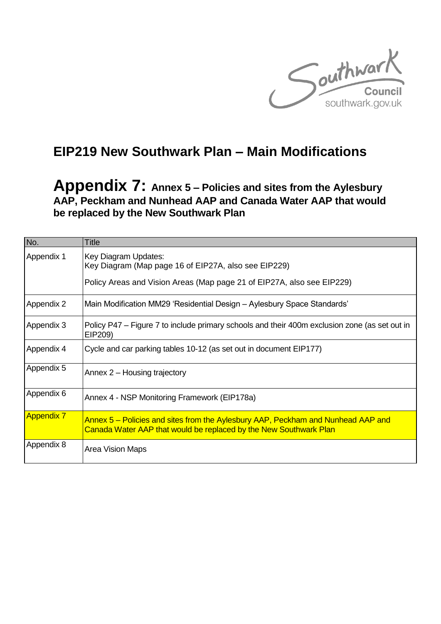

# **EIP219 New Southwark Plan – Main Modifications**

**Appendix 7: Annex 5 – Policies and sites from the Aylesbury AAP, Peckham and Nunhead AAP and Canada Water AAP that would be replaced by the New Southwark Plan**

| No.               | Title                                                                                                                                                  |
|-------------------|--------------------------------------------------------------------------------------------------------------------------------------------------------|
| Appendix 1        | Key Diagram Updates:<br>Key Diagram (Map page 16 of EIP27A, also see EIP229)<br>Policy Areas and Vision Areas (Map page 21 of EIP27A, also see EIP229) |
| Appendix 2        | Main Modification MM29 'Residential Design - Aylesbury Space Standards'                                                                                |
|                   |                                                                                                                                                        |
| Appendix 3        | Policy P47 – Figure 7 to include primary schools and their 400m exclusion zone (as set out in<br>EIP209)                                               |
| Appendix 4        | Cycle and car parking tables 10-12 (as set out in document EIP177)                                                                                     |
| Appendix 5        | Annex 2 – Housing trajectory                                                                                                                           |
| Appendix 6        | Annex 4 - NSP Monitoring Framework (EIP178a)                                                                                                           |
| <b>Appendix 7</b> | Annex 5 – Policies and sites from the Aylesbury AAP, Peckham and Nunhead AAP and<br>Canada Water AAP that would be replaced by the New Southwark Plan  |
| Appendix 8        | Area Vision Maps                                                                                                                                       |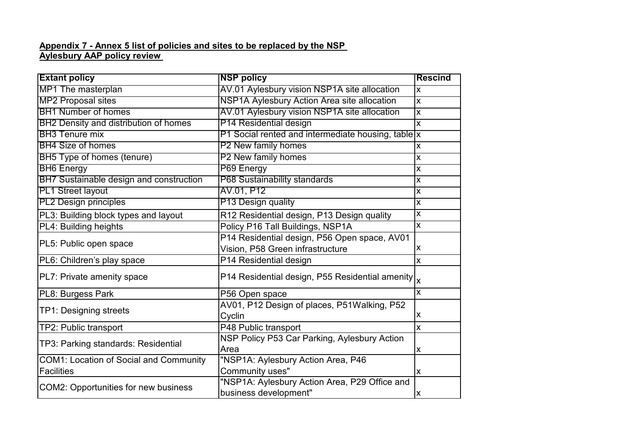#### **Appendix 7 - Annex 5 list of policies and sites to be replaced by the NSP Aylesbury AAP policy review**

| <b>Extant policy</b>                          | <b>NSP policy</b>                                                    | <b>Rescind</b>          |
|-----------------------------------------------|----------------------------------------------------------------------|-------------------------|
| MP1 The masterplan                            | AV.01 Aylesbury vision NSP1A site allocation                         | $\overline{\mathsf{x}}$ |
| <b>MP2 Proposal sites</b>                     | NSP1A Aylesbury Action Area site allocation                          | $\overline{\mathsf{x}}$ |
| <b>BH1 Number of homes</b>                    | AV.01 Aylesbury vision NSP1A site allocation                         | $\mathsf{X}$            |
| BH2 Density and distribution of homes         | P14 Residential design                                               | $\overline{\mathsf{x}}$ |
| <b>BH3</b> Tenure mix                         | P1 Social rented and intermediate housing, table x                   |                         |
| <b>BH4 Size of homes</b>                      | P2 New family homes                                                  | $\overline{\mathsf{X}}$ |
| BH5 Type of homes (tenure)                    | P2 New family homes                                                  | $\mathsf{x}$            |
| <b>BH6 Energy</b>                             | P69 Energy                                                           | $\overline{\mathsf{x}}$ |
| BH7 Sustainable design and construction       | P68 Sustainability standards                                         | $\overline{\mathsf{X}}$ |
| <b>PL1 Street layout</b>                      | AV.01, P12                                                           | $\overline{\mathsf{x}}$ |
| <b>PL2 Design principles</b>                  | P13 Design quality                                                   | $\overline{\mathsf{x}}$ |
| PL3: Building block types and layout          | R12 Residential design, P13 Design quality                           | $\mathsf{X}$            |
| PL4: Building heights                         | Policy P16 Tall Buildings, NSP1A                                     | $\overline{\mathsf{x}}$ |
|                                               | P14 Residential design, P56 Open space, AV01                         |                         |
| PL5: Public open space                        | Vision, P58 Green infrastructure                                     | X                       |
| PL6: Children's play space                    | P14 Residential design                                               | X                       |
| PL7: Private amenity space                    | P14 Residential design, P55 Residential amenity $\vert_{\mathsf{X}}$ |                         |
| PL8: Burgess Park                             | P56 Open space                                                       | $\mathsf{X}$            |
|                                               | AV01, P12 Design of places, P51Walking, P52                          |                         |
| TP1: Designing streets                        | Cyclin                                                               | Χ                       |
| TP2: Public transport                         | P48 Public transport                                                 | $\overline{\mathsf{x}}$ |
|                                               | NSP Policy P53 Car Parking, Aylesbury Action                         |                         |
| TP3: Parking standards: Residential           | Area                                                                 | X                       |
| <b>COM1: Location of Social and Community</b> | "NSP1A: Aylesbury Action Area, P46                                   |                         |
| <b>Facilities</b>                             | Community uses"                                                      | X                       |
| COM2: Opportunities for new business          | "NSP1A: Aylesbury Action Area, P29 Office and                        |                         |
|                                               | business development"                                                | $\mathsf{x}$            |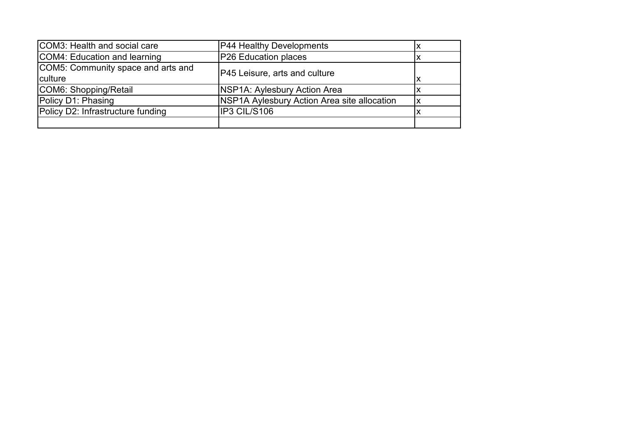| COM3: Health and social care       | P44 Healthy Developments                    | х  |
|------------------------------------|---------------------------------------------|----|
| COM4: Education and learning       | P26 Education places                        |    |
| COM5: Community space and arts and | <b>P45 Leisure, arts and culture</b>        |    |
| <b>culture</b>                     |                                             | ΙX |
| COM6: Shopping/Retail              | NSP1A: Aylesbury Action Area                |    |
| Policy D1: Phasing                 | NSP1A Aylesbury Action Area site allocation | lχ |
| Policy D2: Infrastructure funding  | IP3 CIL/S106                                |    |
|                                    |                                             |    |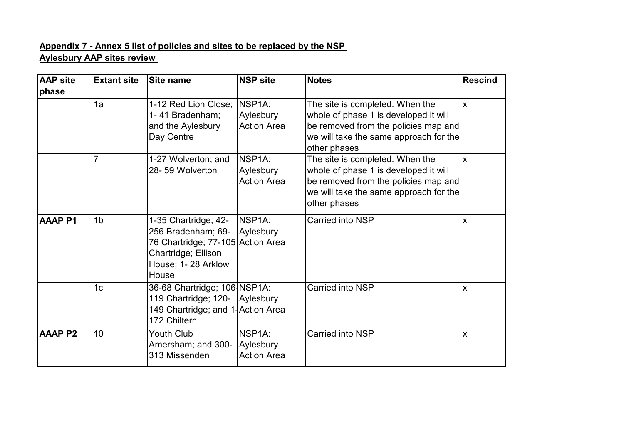### **Appendix 7 - Annex 5 list of policies and sites to be replaced by the NSP Aylesbury AAP sites review**

| <b>AAP site</b> | <b>Extant site</b> | <b>Site name</b>                                                                                                                      | <b>NSP site</b>                                        | <b>Notes</b>                                                                                                                                                               | <b>Rescind</b> |
|-----------------|--------------------|---------------------------------------------------------------------------------------------------------------------------------------|--------------------------------------------------------|----------------------------------------------------------------------------------------------------------------------------------------------------------------------------|----------------|
| phase           |                    |                                                                                                                                       |                                                        |                                                                                                                                                                            |                |
|                 | 1a                 | 1-12 Red Lion Close;  NSP1A:<br>1-41 Bradenham;<br>and the Aylesbury<br>Day Centre                                                    | Aylesbury<br><b>Action Area</b>                        | The site is completed. When the<br>whole of phase 1 is developed it will<br>be removed from the policies map and<br>we will take the same approach for the<br>other phases | <b>x</b>       |
|                 | 7                  | 1-27 Wolverton; and<br>28-59 Wolverton                                                                                                | NSP1A:<br>Aylesbury<br><b>Action Area</b>              | The site is completed. When the<br>whole of phase 1 is developed it will<br>be removed from the policies map and<br>we will take the same approach for the<br>other phases | <b>x</b>       |
| <b>AAAPP1</b>   | 1 <sub>b</sub>     | 1-35 Chartridge; 42-<br>256 Bradenham; 69-<br>76 Chartridge; 77-105 Action Area<br>Chartridge; Ellison<br>House; 1-28 Arklow<br>House | NSP1A:<br>Aylesbury                                    | Carried into NSP                                                                                                                                                           | X              |
|                 | 1 <sub>c</sub>     | 36-68 Chartridge; 106 NSP1A:<br>119 Chartridge; 120- Aylesbury<br>149 Chartridge; and 1-Action Area<br>172 Chiltern                   |                                                        | Carried into NSP                                                                                                                                                           | X              |
| <b>AAAPP2</b>   | 10                 | Youth Club<br>Amersham; and 300-<br>313 Missenden                                                                                     | NSP <sub>1</sub> A:<br>Aylesbury<br><b>Action Area</b> | Carried into NSP                                                                                                                                                           | X              |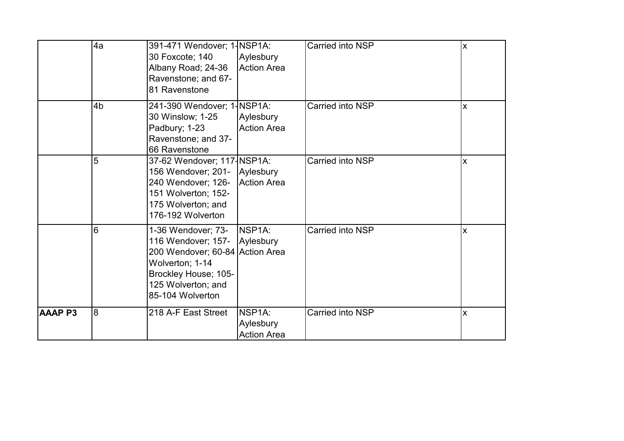|               | 4a             | 391-471 Wendover; 1-NSP1A:<br>30 Foxcote; 140<br>Albany Road; 24-36<br>Ravenstone; and 67-<br>81 Ravenstone                                                                | Aylesbury<br><b>Action Area</b>           | Carried into NSP | X |
|---------------|----------------|----------------------------------------------------------------------------------------------------------------------------------------------------------------------------|-------------------------------------------|------------------|---|
|               | 4 <sub>b</sub> | 241-390 Wendover; 1-NSP1A:<br>30 Winslow; 1-25<br>Padbury; 1-23<br>Ravenstone; and 37-<br>66 Ravenstone                                                                    | Aylesbury<br><b>Action Area</b>           | Carried into NSP | X |
|               | 5              | 37-62 Wendover; 117-NSP1A:<br>156 Wendover; 201- Aylesbury<br>240 Wendover; 126-<br>151 Wolverton; 152-<br>175 Wolverton; and<br>176-192 Wolverton                         | <b>Action Area</b>                        | Carried into NSP | X |
|               | 6              | 1-36 Wendover; 73-<br>116 Wendover; 157- Aylesbury<br>200 Wendover; 60-84 Action Area<br>Wolverton; 1-14<br>Brockley House; 105-<br>125 Wolverton; and<br>85-104 Wolverton | INSP <sub>1</sub> A:                      | Carried into NSP | X |
| <b>AAAPP3</b> | $\overline{8}$ | 218 A-F East Street                                                                                                                                                        | NSP1A:<br>Aylesbury<br><b>Action Area</b> | Carried into NSP | X |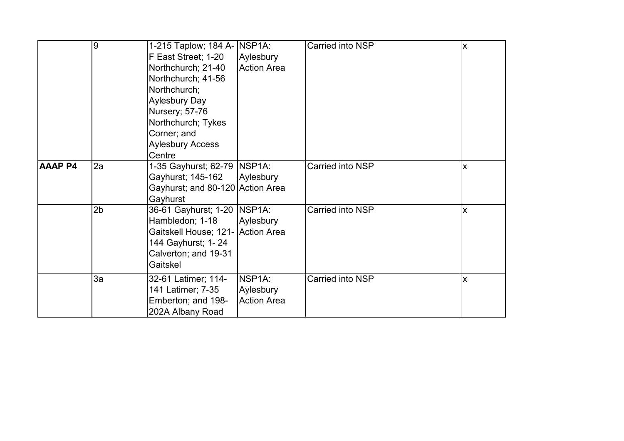|                | 9              | 1-215 Taplow; 184 A- NSP1A:<br>F East Street; 1-20<br>Northchurch; 21-40<br>Northchurch; 41-56<br>Northchurch;<br><b>Aylesbury Day</b><br>Nursery; 57-76<br>Northchurch; Tykes<br>Corner; and<br><b>Aylesbury Access</b><br>Centre | Aylesbury<br><b>Action Area</b>                        | Carried into NSP | $\overline{\mathsf{x}}$ |
|----------------|----------------|------------------------------------------------------------------------------------------------------------------------------------------------------------------------------------------------------------------------------------|--------------------------------------------------------|------------------|-------------------------|
| <b>AAAP P4</b> | 2a             | 1-35 Gayhurst; 62-79   NSP1A:<br>Gayhurst; 145-162<br>Gayhurst; and 80-120 Action Area<br>Gayhurst                                                                                                                                 | Aylesbury                                              | Carried into NSP | X                       |
|                | 2 <sub>b</sub> | 36-61 Gayhurst; 1-20   NSP1A:<br>Hambledon; 1-18<br>Gaitskell House; 121- Action Area<br>144 Gayhurst; 1- 24<br>Calverton; and 19-31<br>Gaitskel                                                                                   | Aylesbury                                              | Carried into NSP | X                       |
|                | 3a             | 32-61 Latimer; 114-<br>141 Latimer; 7-35<br>Emberton; and 198-<br>202A Albany Road                                                                                                                                                 | NSP <sub>1A</sub> :<br>Aylesbury<br><b>Action Area</b> | Carried into NSP | X                       |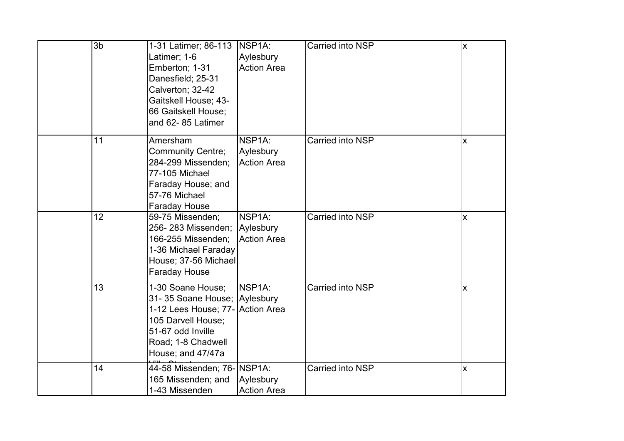| 3b | 1-31 Latimer; 86-113   NSP1A:<br>Latimer; 1-6<br>Emberton; 1-31<br>Danesfield; 25-31<br>Calverton; 32-42<br>Gaitskell House; 43-<br>66 Gaitskell House;<br>and 62-85 Latimer | Aylesbury<br><b>Action Area</b>                        | Carried into NSP | $\overline{\mathsf{X}}$ |
|----|------------------------------------------------------------------------------------------------------------------------------------------------------------------------------|--------------------------------------------------------|------------------|-------------------------|
| 11 | Amersham<br><b>Community Centre;</b><br>284-299 Missenden;<br>77-105 Michael<br>Faraday House; and<br>57-76 Michael<br><b>Faraday House</b>                                  | NSP <sub>1A</sub> :<br>Aylesbury<br><b>Action Area</b> | Carried into NSP | X                       |
| 12 | 59-75 Missenden;<br>256-283 Missenden;<br>166-255 Missenden;<br>1-36 Michael Faraday<br>House; 37-56 Michael<br><b>Faraday House</b>                                         | NSP <sub>1</sub> A:<br>Aylesbury<br><b>Action Area</b> | Carried into NSP | X                       |
| 13 | 1-30 Soane House;<br>31-35 Soane House; Aylesbury<br>1-12 Lees House; 77- Action Area<br>105 Darvell House;<br>51-67 odd Inville<br>Road; 1-8 Chadwell<br>House; and 47/47a  | NSP <sub>1A</sub> :                                    | Carried into NSP | $\overline{\mathsf{X}}$ |
| 14 | 44-58 Missenden; 76- NSP1A:<br>165 Missenden; and<br>1-43 Missenden                                                                                                          | Aylesbury<br><b>Action Area</b>                        | Carried into NSP | $\mathsf{\overline{X}}$ |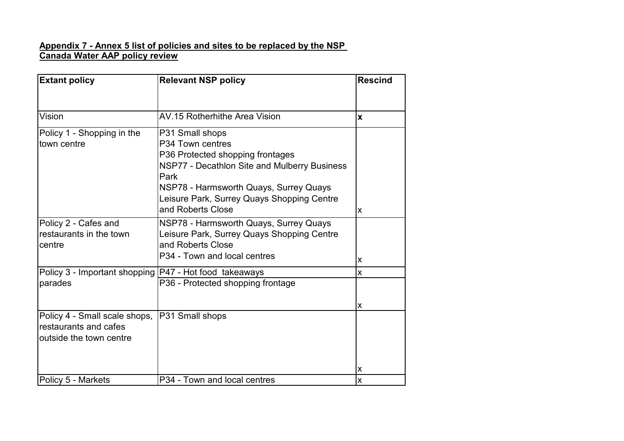#### **Appendix 7 - Annex 5 list of policies and sites to be replaced by the NSP Canada Water AAP policy review**

| <b>Extant policy</b>                                                              | <b>Relevant NSP policy</b>                                                                                                                                                                                                                   | <b>Rescind</b>    |
|-----------------------------------------------------------------------------------|----------------------------------------------------------------------------------------------------------------------------------------------------------------------------------------------------------------------------------------------|-------------------|
|                                                                                   |                                                                                                                                                                                                                                              |                   |
| Vision                                                                            | AV.15 Rotherhithe Area Vision                                                                                                                                                                                                                | $\mathbf{x}$      |
| Policy 1 - Shopping in the<br>town centre                                         | P31 Small shops<br>P34 Town centres<br>P36 Protected shopping frontages<br>NSP77 - Decathlon Site and Mulberry Business<br>Park<br>NSP78 - Harmsworth Quays, Surrey Quays<br>Leisure Park, Surrey Quays Shopping Centre<br>and Roberts Close | X                 |
| Policy 2 - Cafes and<br>restaurants in the town<br>centre                         | NSP78 - Harmsworth Quays, Surrey Quays<br>Leisure Park, Surrey Quays Shopping Centre<br>and Roberts Close<br>P34 - Town and local centres                                                                                                    |                   |
| Policy 3 - Important shopping  P47 - Hot food takeaways                           |                                                                                                                                                                                                                                              | $\mathsf{x}$<br>X |
| parades                                                                           | P36 - Protected shopping frontage                                                                                                                                                                                                            | X                 |
| Policy 4 - Small scale shops,<br>restaurants and cafes<br>outside the town centre | P31 Small shops                                                                                                                                                                                                                              | X                 |
| Policy 5 - Markets                                                                | P34 - Town and local centres                                                                                                                                                                                                                 | X                 |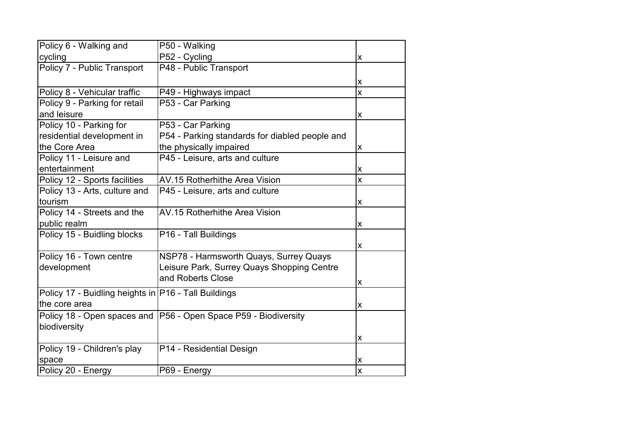| Policy 6 - Walking and                               | P50 - Walking                                                     |                         |
|------------------------------------------------------|-------------------------------------------------------------------|-------------------------|
| cycling                                              | P52 - Cycling                                                     | X                       |
| Policy 7 - Public Transport                          | P48 - Public Transport                                            |                         |
|                                                      |                                                                   | X                       |
| Policy 8 - Vehicular traffic                         | P49 - Highways impact                                             | $\mathsf{\overline{X}}$ |
| Policy 9 - Parking for retail                        | P53 - Car Parking                                                 |                         |
| and leisure                                          |                                                                   | X                       |
| Policy 10 - Parking for                              | P53 - Car Parking                                                 |                         |
| residential development in                           | P54 - Parking standards for diabled people and                    |                         |
| the Core Area                                        | the physically impaired                                           | $\pmb{\mathsf{X}}$      |
| Policy 11 - Leisure and                              | P45 - Leisure, arts and culture                                   |                         |
| entertainment                                        |                                                                   | $\pmb{\mathsf{X}}$      |
| Policy 12 - Sports facilities                        | <b>AV.15 Rotherhithe Area Vision</b>                              | $\mathsf{\overline{X}}$ |
| Policy 13 - Arts, culture and                        | P45 - Leisure, arts and culture                                   |                         |
| tourism                                              |                                                                   | X                       |
| Policy 14 - Streets and the                          | <b>AV.15 Rotherhithe Area Vision</b>                              |                         |
| public realm                                         |                                                                   | X                       |
| Policy 15 - Buidling blocks                          | P16 - Tall Buildings                                              |                         |
|                                                      |                                                                   | X                       |
| Policy 16 - Town centre                              | NSP78 - Harmsworth Quays, Surrey Quays                            |                         |
| development                                          | Leisure Park, Surrey Quays Shopping Centre                        |                         |
|                                                      | and Roberts Close                                                 | X                       |
| Policy 17 - Buidling heights in P16 - Tall Buildings |                                                                   |                         |
| the core area                                        |                                                                   | $\pmb{\mathsf{X}}$      |
|                                                      | Policy 18 - Open spaces and   P56 - Open Space P59 - Biodiversity |                         |
| biodiversity                                         |                                                                   |                         |
|                                                      |                                                                   | X                       |
| Policy 19 - Children's play                          | P14 - Residential Design                                          |                         |
| space                                                |                                                                   | X                       |
| Policy 20 - Energy                                   | P69 - Energy                                                      | $\overline{\mathsf{x}}$ |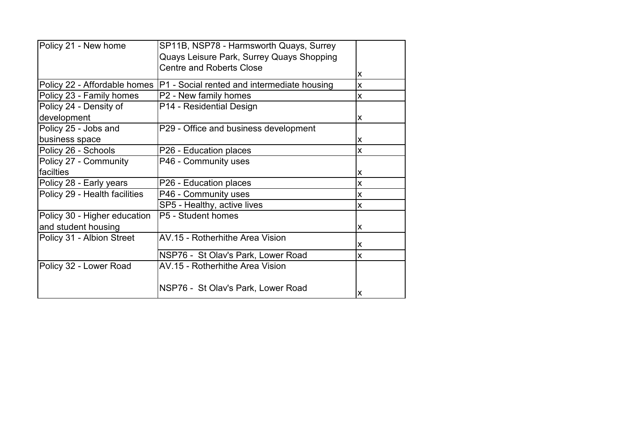| Policy 21 - New home          | SP11B, NSP78 - Harmsworth Quays, Surrey                                    |                           |
|-------------------------------|----------------------------------------------------------------------------|---------------------------|
|                               | Quays Leisure Park, Surrey Quays Shopping                                  |                           |
|                               | <b>Centre and Roberts Close</b>                                            |                           |
|                               |                                                                            | X                         |
|                               | Policy 22 - Affordable homes   P1 - Social rented and intermediate housing | $\pmb{\mathsf{X}}$        |
| Policy 23 - Family homes      | P2 - New family homes                                                      | $\overline{\mathsf{x}}$   |
| Policy 24 - Density of        | P14 - Residential Design                                                   |                           |
| development                   |                                                                            | X                         |
| Policy 25 - Jobs and          | P29 - Office and business development                                      |                           |
| business space                |                                                                            | X                         |
| Policy 26 - Schools           | P26 - Education places                                                     | X                         |
| Policy 27 - Community         | P46 - Community uses                                                       |                           |
| facilties                     |                                                                            | X                         |
| Policy 28 - Early years       | P26 - Education places                                                     | $\boldsymbol{\mathsf{x}}$ |
| Policy 29 - Health facilities | P46 - Community uses                                                       | X                         |
|                               | SP5 - Healthy, active lives                                                | X                         |
| Policy 30 - Higher education  | P5 - Student homes                                                         |                           |
| and student housing           |                                                                            | X                         |
| Policy 31 - Albion Street     | AV.15 - Rotherhithe Area Vision                                            |                           |
|                               |                                                                            | X                         |
|                               | NSP76 - St Olav's Park, Lower Road                                         | X                         |
| Policy 32 - Lower Road        | AV.15 - Rotherhithe Area Vision                                            |                           |
|                               |                                                                            |                           |
|                               | NSP76 - St Olav's Park, Lower Road                                         |                           |
|                               |                                                                            | X                         |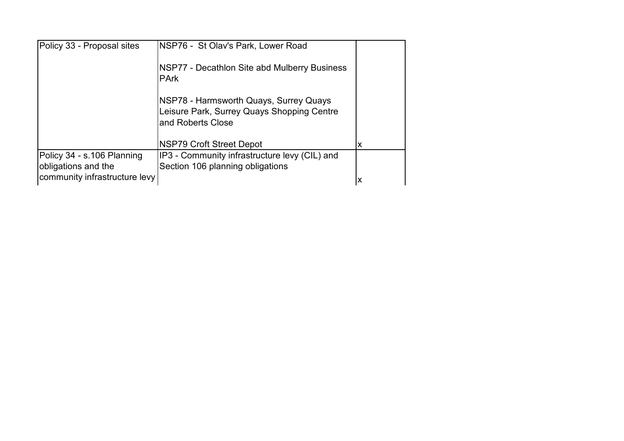| Policy 33 - Proposal sites    | NSP76 - St Olav's Park, Lower Road                                                                        |   |
|-------------------------------|-----------------------------------------------------------------------------------------------------------|---|
|                               | NSP77 - Decathlon Site abd Mulberry Business<br><b>PArk</b>                                               |   |
|                               | NSP78 - Harmsworth Quays, Surrey Quays<br>Leisure Park, Surrey Quays Shopping Centre<br>and Roberts Close |   |
|                               | NSP79 Croft Street Depot                                                                                  | X |
| Policy 34 - s.106 Planning    | IP3 - Community infrastructure levy (CIL) and                                                             |   |
| obligations and the           | Section 106 planning obligations                                                                          |   |
| community infrastructure levy |                                                                                                           | X |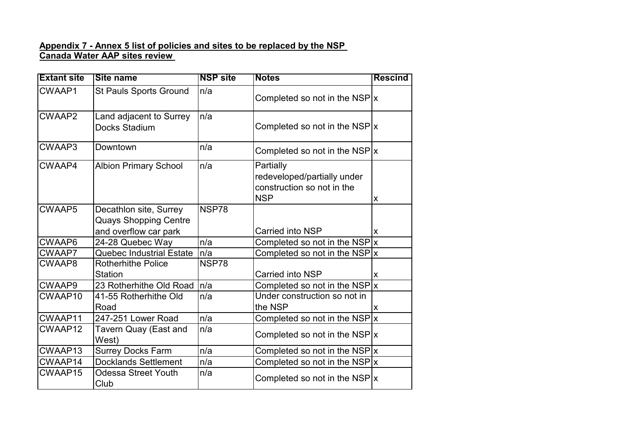#### **Appendix 7 - Annex 5 list of policies and sites to be replaced by the NSP Canada Water AAP sites review**

| <b>Extant site</b> | <b>Site name</b>                                                                | <b>NSP site</b> | <b>Notes</b>                                                                         | <b>Rescind</b> |
|--------------------|---------------------------------------------------------------------------------|-----------------|--------------------------------------------------------------------------------------|----------------|
| CWAAP1             | <b>St Pauls Sports Ground</b>                                                   | n/a             | Completed so not in the NSP $ x $                                                    |                |
| CWAAP2             | Land adjacent to Surrey<br>Docks Stadium                                        | n/a             | Completed so not in the NSP $x$                                                      |                |
| CWAAP3             | Downtown                                                                        | n/a             | Completed so not in the NSP $x$                                                      |                |
| CWAAP4             | <b>Albion Primary School</b>                                                    | n/a             | Partially<br>redeveloped/partially under<br>construction so not in the<br><b>NSP</b> | X              |
| <b>CWAAP5</b>      | Decathlon site, Surrey<br><b>Quays Shopping Centre</b><br>and overflow car park | NSP78           | Carried into NSP                                                                     | X              |
| CWAAP6             | 24-28 Quebec Way                                                                | n/a             | Completed so not in the NSP $ x $                                                    |                |
| CWAAP7             | <b>Quebec Industrial Estate</b>                                                 | n/a             | Completed so not in the NSP x                                                        |                |
| CWAAP8             | <b>Rotherhithe Police</b><br><b>Station</b>                                     | NSP78           | <b>Carried into NSP</b>                                                              | X              |
| CWAAP9             | 23 Rotherhithe Old Road                                                         | n/a             | Completed so not in the NSP $x$                                                      |                |
| CWAAP10            | 41-55 Rotherhithe Old<br>Road                                                   | n/a             | Under construction so not in<br>the NSP                                              | X              |
| CWAAP11            | 247-251 Lower Road                                                              | n/a             | Completed so not in the NSP $ x $                                                    |                |
| CWAAP12            | Tavern Quay (East and<br>West)                                                  | n/a             | Completed so not in the NSP $x$                                                      |                |
| CWAAP13            | <b>Surrey Docks Farm</b>                                                        | n/a             | Completed so not in the NSP $ x $                                                    |                |
| CWAAP14            | <b>Docklands Settlement</b>                                                     | n/a             | Completed so not in the NSP $ x $                                                    |                |
| CWAAP15            | <b>Odessa Street Youth</b><br>Club                                              | n/a             | Completed so not in the NSP $ x $                                                    |                |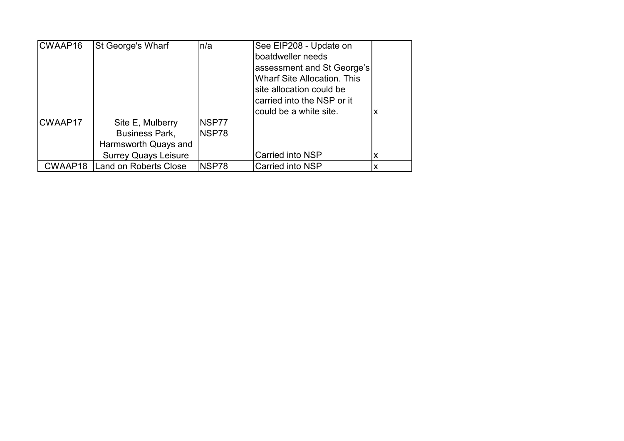| CWAAP16 | St George's Wharf           | n/a   | See EIP208 - Update on             |   |
|---------|-----------------------------|-------|------------------------------------|---|
|         |                             |       | boatdweller needs                  |   |
|         |                             |       | assessment and St George's         |   |
|         |                             |       | <b>Wharf Site Allocation. This</b> |   |
|         |                             |       | site allocation could be           |   |
|         |                             |       | carried into the NSP or it         |   |
|         |                             |       | could be a white site.             | х |
| CWAAP17 | Site E, Mulberry            | NSP77 |                                    |   |
|         | <b>Business Park,</b>       | NSP78 |                                    |   |
|         | Harmsworth Quays and        |       |                                    |   |
|         | <b>Surrey Quays Leisure</b> |       | Carried into NSP                   | х |
| CWAAP18 | Land on Roberts Close       | NSP78 | Carried into NSP                   | Χ |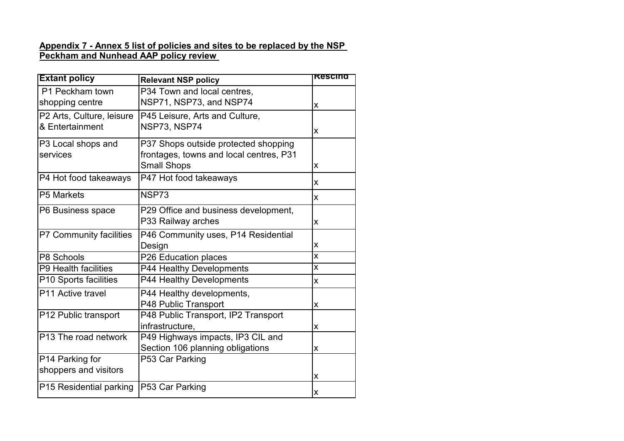#### **Appendix 7 - Annex 5 list of policies and sites to be replaced by the NSP Peckham and Nunhead AAP policy review**

| <b>Extant policy</b>                         | <b>Relevant NSP policy</b>                                                                            | Rescind            |
|----------------------------------------------|-------------------------------------------------------------------------------------------------------|--------------------|
| P1 Peckham town<br>shopping centre           | P34 Town and local centres,<br>NSP71, NSP73, and NSP74                                                | X                  |
| P2 Arts, Culture, leisure<br>& Entertainment | P45 Leisure, Arts and Culture,<br>NSP73, NSP74                                                        | X                  |
| P3 Local shops and<br>services               | P37 Shops outside protected shopping<br>frontages, towns and local centres, P31<br><b>Small Shops</b> | X                  |
| P4 Hot food takeaways                        | P47 Hot food takeaways                                                                                | X                  |
| P5 Markets                                   | NSP73                                                                                                 | X                  |
| P6 Business space                            | P29 Office and business development,<br>P33 Railway arches                                            | X                  |
| P7 Community facilities                      | P46 Community uses, P14 Residential<br>Design                                                         | X                  |
| P8 Schools                                   | P26 Education places                                                                                  | X                  |
| P9 Health facilities                         | P44 Healthy Developments                                                                              | X                  |
| P10 Sports facilities                        | P44 Healthy Developments                                                                              | X                  |
| P11 Active travel                            | P44 Healthy developments,<br>P48 Public Transport                                                     | X                  |
| P12 Public transport                         | P48 Public Transport, IP2 Transport<br>infrastructure,                                                | X                  |
| P13 The road network                         | P49 Highways impacts, IP3 CIL and<br>Section 106 planning obligations                                 | X                  |
| P14 Parking for                              | P53 Car Parking                                                                                       |                    |
| shoppers and visitors                        |                                                                                                       | X                  |
| P15 Residential parking                      | P53 Car Parking                                                                                       | $\pmb{\mathsf{X}}$ |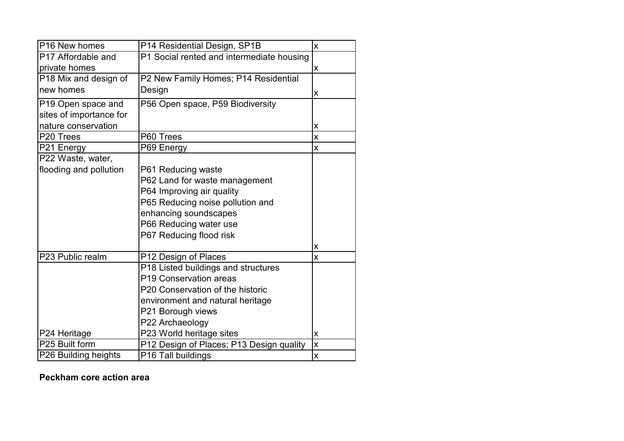| P16 New homes           | P14 Residential Design, SP1B              | $\pmb{\mathsf{X}}$      |
|-------------------------|-------------------------------------------|-------------------------|
| P17 Affordable and      | P1 Social rented and intermediate housing |                         |
| private homes           |                                           | X                       |
| P18 Mix and design of   | P2 New Family Homes; P14 Residential      |                         |
| new homes               | Design                                    | $\pmb{\mathsf{X}}$      |
| P19 Open space and      | P56 Open space, P59 Biodiversity          |                         |
| sites of importance for |                                           |                         |
| nature conservation     |                                           | X                       |
| P20 Trees               | P60 Trees                                 | $\mathsf{\overline{X}}$ |
| P21 Energy              | P69 Energy                                | X                       |
| P22 Waste, water,       |                                           |                         |
| flooding and pollution  | P61 Reducing waste                        |                         |
|                         | P62 Land for waste management             |                         |
|                         | P64 Improving air quality                 |                         |
|                         | P65 Reducing noise pollution and          |                         |
|                         | enhancing soundscapes                     |                         |
|                         | P66 Reducing water use                    |                         |
|                         | P67 Reducing flood risk                   |                         |
|                         |                                           | $\pmb{\mathsf{X}}$      |
| P23 Public realm        | P12 Design of Places                      | $\overline{\mathsf{x}}$ |
|                         | P18 Listed buildings and structures       |                         |
|                         | P19 Conservation areas                    |                         |
|                         | P20 Conservation of the historic          |                         |
|                         | environment and natural heritage          |                         |
|                         | P21 Borough views                         |                         |
|                         | P22 Archaeology                           |                         |
| P24 Heritage            | P23 World heritage sites                  | $\pmb{\mathsf{X}}$      |
| P25 Built form          | P12 Design of Places; P13 Design quality  | X                       |
| P26 Building heights    | P16 Tall buildings                        | $\pmb{\mathsf{X}}$      |

**Peckham core action area**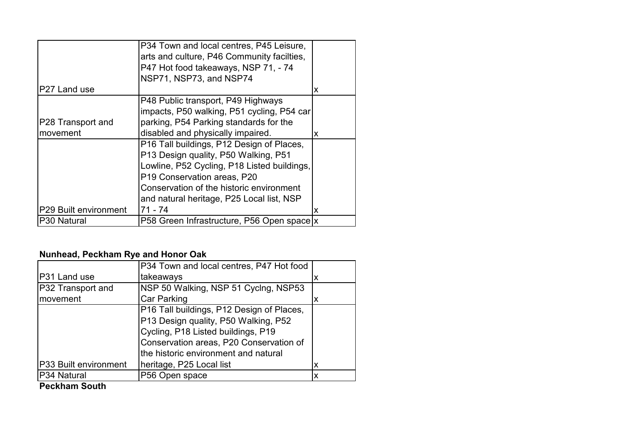|                          | P34 Town and local centres, P45 Leisure,    |   |
|--------------------------|---------------------------------------------|---|
|                          | arts and culture, P46 Community facilties.  |   |
|                          | P47 Hot food takeaways, NSP 71, - 74        |   |
|                          | NSP71, NSP73, and NSP74                     |   |
| P <sub>27</sub> Land use |                                             | X |
|                          | P48 Public transport, P49 Highways          |   |
|                          | impacts, P50 walking, P51 cycling, P54 car  |   |
| P28 Transport and        | parking, P54 Parking standards for the      |   |
| movement                 | disabled and physically impaired.           | X |
|                          | P16 Tall buildings, P12 Design of Places,   |   |
|                          | P13 Design quality, P50 Walking, P51        |   |
|                          | Lowline, P52 Cycling, P18 Listed buildings, |   |
|                          | P19 Conservation areas, P20                 |   |
|                          | Conservation of the historic environment    |   |
|                          | and natural heritage, P25 Local list, NSP   |   |
| P29 Built environment    | 71 - 74                                     | X |
| P <sub>30</sub> Natural  | P58 Green Infrastructure, P56 Open space x  |   |

# **Nunhead, Peckham Rye and Honor Oak**

|                       | P34 Town and local centres, P47 Hot food  |   |
|-----------------------|-------------------------------------------|---|
| P31 Land use          | takeaways                                 | x |
| P32 Transport and     | NSP 50 Walking, NSP 51 Cyclng, NSP53      |   |
| movement              | <b>Car Parking</b>                        | X |
|                       | P16 Tall buildings, P12 Design of Places, |   |
|                       | P13 Design quality, P50 Walking, P52      |   |
|                       | Cycling, P18 Listed buildings, P19        |   |
|                       | Conservation areas, P20 Conservation of   |   |
|                       | the historic environment and natural      |   |
| P33 Built environment | heritage, P25 Local list                  | X |
| P34 Natural           | P56 Open space                            | X |
| .                     |                                           |   |

**Peckham South**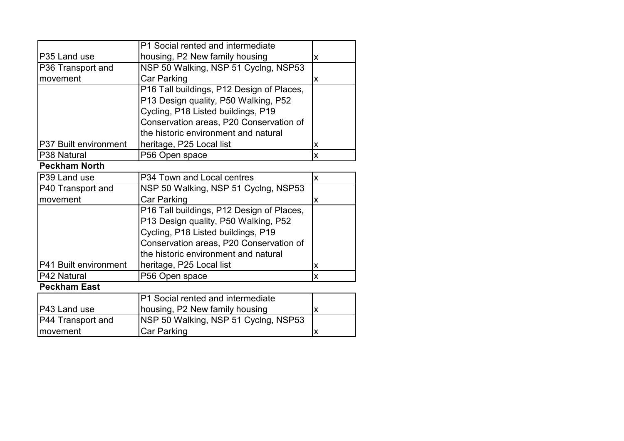|                                                | P1 Social rented and intermediate         |                           |
|------------------------------------------------|-------------------------------------------|---------------------------|
| P35 Land use<br>housing, P2 New family housing |                                           | X                         |
| P36 Transport and                              | NSP 50 Walking, NSP 51 Cyclng, NSP53      |                           |
| movement                                       | <b>Car Parking</b>                        | $\boldsymbol{\mathsf{x}}$ |
|                                                | P16 Tall buildings, P12 Design of Places, |                           |
|                                                | P13 Design quality, P50 Walking, P52      |                           |
|                                                | Cycling, P18 Listed buildings, P19        |                           |
|                                                | Conservation areas, P20 Conservation of   |                           |
|                                                | the historic environment and natural      |                           |
| P37 Built environment                          | heritage, P25 Local list                  | X                         |
| P38 Natural                                    | P56 Open space                            | X                         |
| <b>Peckham North</b>                           |                                           |                           |
| P39 Land use                                   | P34 Town and Local centres                | $\mathsf{x}$              |
| P40 Transport and                              | NSP 50 Walking, NSP 51 Cyclng, NSP53      |                           |
| movement                                       | <b>Car Parking</b>                        | $\mathsf{x}$              |
|                                                | P16 Tall buildings, P12 Design of Places, |                           |
|                                                | P13 Design quality, P50 Walking, P52      |                           |
|                                                | Cycling, P18 Listed buildings, P19        |                           |
|                                                | Conservation areas, P20 Conservation of   |                           |
|                                                | the historic environment and natural      |                           |
| P41 Built environment                          | heritage, P25 Local list                  | X                         |
| P42 Natural                                    | P56 Open space                            | $\boldsymbol{\mathsf{x}}$ |
| <b>Peckham East</b>                            |                                           |                           |
|                                                | P1 Social rented and intermediate         |                           |
| P43 Land use                                   | housing, P2 New family housing            | $\pmb{\mathsf{X}}$        |
| P44 Transport and                              | NSP 50 Walking, NSP 51 Cyclng, NSP53      |                           |
| movement                                       | <b>Car Parking</b>                        | $\pmb{\mathsf{X}}$        |
|                                                |                                           |                           |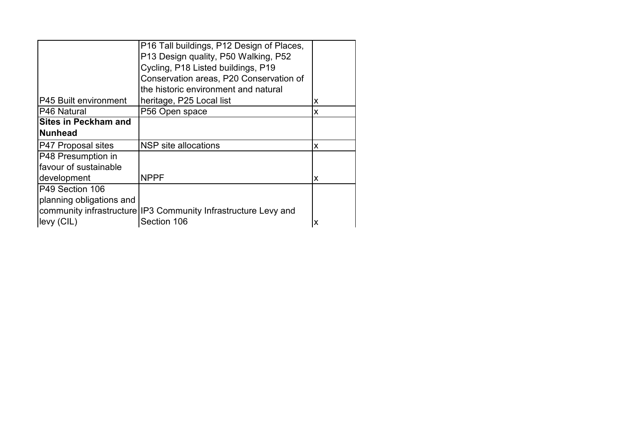|                             | P16 Tall buildings, P12 Design of Places,                       |   |
|-----------------------------|-----------------------------------------------------------------|---|
|                             | P13 Design quality, P50 Walking, P52                            |   |
|                             | Cycling, P18 Listed buildings, P19                              |   |
|                             | Conservation areas, P20 Conservation of                         |   |
|                             | the historic environment and natural                            |   |
| P45 Built environment       | heritage, P25 Local list                                        | X |
| P46 Natural                 | P56 Open space                                                  | X |
| <b>Sites in Peckham and</b> |                                                                 |   |
| <b>Nunhead</b>              |                                                                 |   |
| P47 Proposal sites          | NSP site allocations                                            | X |
| P48 Presumption in          |                                                                 |   |
| favour of sustainable       |                                                                 |   |
| development                 | <b>NPPF</b>                                                     | X |
| P49 Section 106             |                                                                 |   |
| planning obligations and    |                                                                 |   |
|                             | community infrastructure IIP3 Community Infrastructure Levy and |   |
| levy (CIL)                  | Section 106                                                     | X |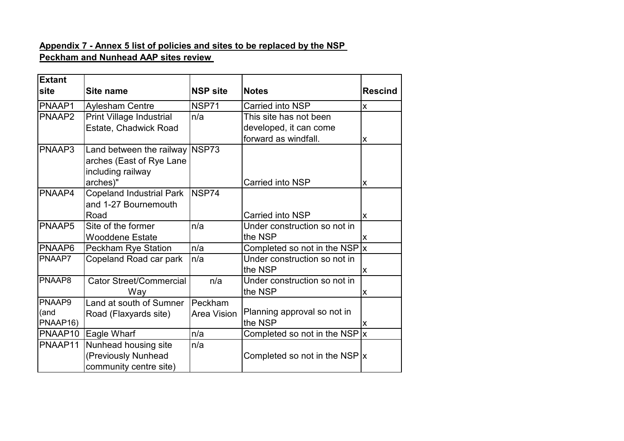## **Appendix 7 - Annex 5 list of policies and sites to be replaced by the NSP Peckham and Nunhead AAP sites review**

| <b>Extant</b> |                                 |                    |                                   |                |
|---------------|---------------------------------|--------------------|-----------------------------------|----------------|
| site          | Site name                       | <b>NSP site</b>    | <b>Notes</b>                      | <b>Rescind</b> |
| PNAAP1        | <b>Aylesham Centre</b>          | NSP71              | Carried into NSP                  | X              |
| PNAAP2        | <b>Print Village Industrial</b> | n/a                | This site has not been            |                |
|               | Estate, Chadwick Road           |                    | developed, it can come            |                |
|               |                                 |                    | forward as windfall.              | X              |
| PNAAP3        | Land between the railway NSP73  |                    |                                   |                |
|               | arches (East of Rye Lane        |                    |                                   |                |
|               | including railway               |                    |                                   |                |
|               | arches)"                        |                    | Carried into NSP                  | X              |
| PNAAP4        | <b>Copeland Industrial Park</b> | NSP74              |                                   |                |
|               | and 1-27 Bournemouth            |                    |                                   |                |
|               | Road                            |                    | Carried into NSP                  | X              |
| PNAAP5        | Site of the former              | n/a                | Under construction so not in      |                |
|               | <b>Wooddene Estate</b>          |                    | the NSP                           | X              |
| PNAAP6        | <b>Peckham Rye Station</b>      | n/a                | Completed so not in the NSP $ x $ |                |
| PNAAP7        | Copeland Road car park          | n/a                | Under construction so not in      |                |
|               |                                 |                    | the NSP                           | X              |
| PNAAP8        | <b>Cator Street/Commercial</b>  | n/a                | Under construction so not in      |                |
|               | Way                             |                    | the NSP                           | X              |
| PNAAP9        | Land at south of Sumner         | Peckham            |                                   |                |
| (and          | Road (Flaxyards site)           | <b>Area Vision</b> | Planning approval so not in       |                |
| PNAAP16)      |                                 |                    | the NSP                           | X              |
| PNAAP10       | Eagle Wharf                     | n/a                | Completed so not in the NSP $ x $ |                |
| PNAAP11       | Nunhead housing site            | n/a                |                                   |                |
|               | (Previously Nunhead             |                    | Completed so not in the NSP $ x $ |                |
|               | community centre site)          |                    |                                   |                |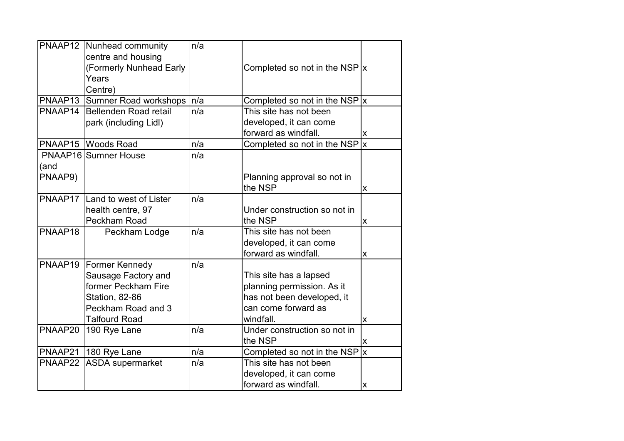|                 | PNAAP12 Nunhead community<br>centre and housing<br>(Formerly Nunhead Early<br>Years<br>Centre) | n/a | Completed so not in the NSP $ x $ |                |
|-----------------|------------------------------------------------------------------------------------------------|-----|-----------------------------------|----------------|
|                 | PNAAP13 Sumner Road workshops                                                                  | n/a | Completed so not in the NSP $ x $ |                |
| PNAAP14         | Bellenden Road retail                                                                          | n/a | This site has not been            |                |
|                 | park (including Lidl)                                                                          |     | developed, it can come            |                |
|                 |                                                                                                |     | forward as windfall.              | X              |
|                 | PNAAP15 Woods Road                                                                             | n/a | Completed so not in the NSP $ x $ |                |
|                 | <b>PNAAP16</b> Sumner House                                                                    | n/a |                                   |                |
| (and<br>PNAAP9) |                                                                                                |     | Planning approval so not in       |                |
|                 |                                                                                                |     | the NSP                           | X              |
|                 | PNAAP17 Land to west of Lister                                                                 | n/a |                                   |                |
|                 | health centre, 97                                                                              |     | Under construction so not in      |                |
|                 | Peckham Road                                                                                   |     | the NSP                           | X              |
| PNAAP18         | Peckham Lodge                                                                                  | n/a | This site has not been            |                |
|                 |                                                                                                |     | developed, it can come            |                |
|                 |                                                                                                |     | forward as windfall.              | $\pmb{\times}$ |
|                 | <b>PNAAP19 Former Kennedy</b>                                                                  | n/a |                                   |                |
|                 | Sausage Factory and                                                                            |     | This site has a lapsed            |                |
|                 | former Peckham Fire                                                                            |     | planning permission. As it        |                |
|                 | Station, 82-86                                                                                 |     | has not been developed, it        |                |
|                 | Peckham Road and 3                                                                             |     | can come forward as               |                |
|                 | <b>Talfourd Road</b>                                                                           |     | windfall.                         | X              |
| PNAAP20         | 190 Rye Lane                                                                                   | n/a | Under construction so not in      |                |
|                 |                                                                                                |     | the NSP                           | X              |
| PNAAP21         | 180 Rye Lane                                                                                   | n/a | Completed so not in the NSP       | lx             |
|                 | PNAAP22 ASDA supermarket                                                                       | n/a | This site has not been            |                |
|                 |                                                                                                |     | developed, it can come            |                |
|                 |                                                                                                |     | forward as windfall.              | X              |